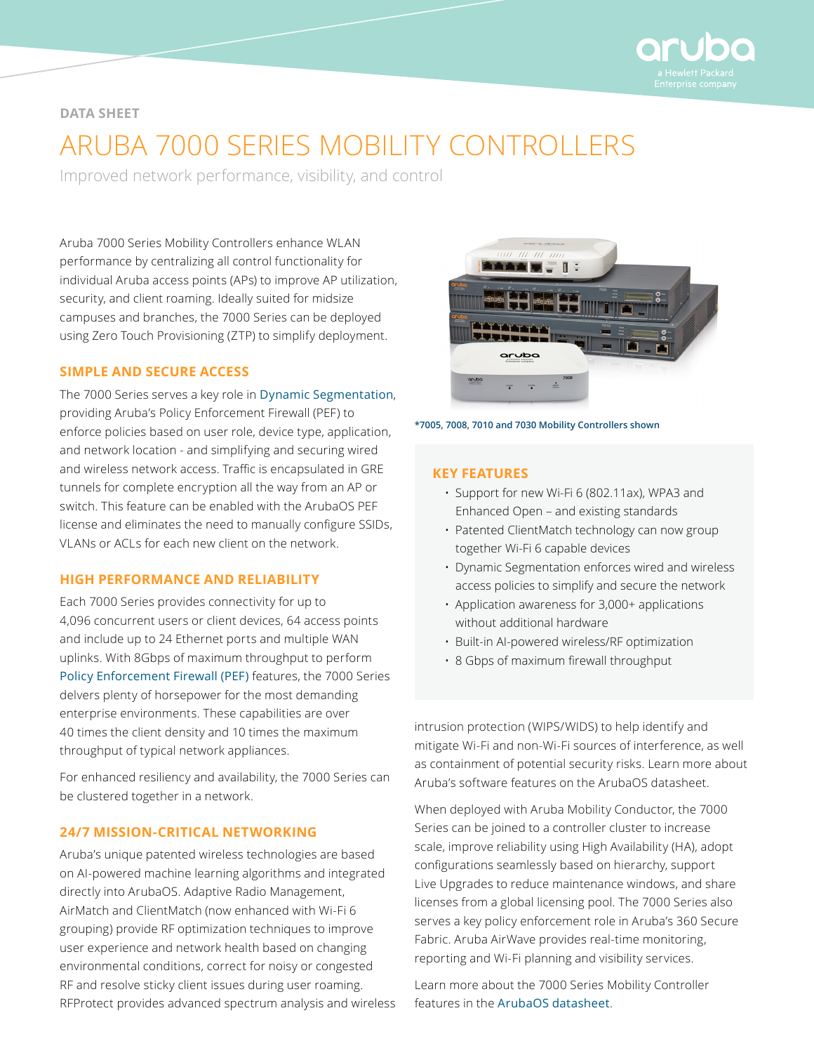

#### **DATA SHEET**

# ARUBA 7000 SERIES MOBILITY CONTROLLERS

Improved network performance, visibility, and control

Aruba 7000 Series Mobility Controllers enhance WLAN performance by centralizing all control functionality for individual Aruba access points (APs) to improve AP utilization, security, and client roaming. Ideally suited for midsize campuses and branches, the 7000 Series can be deployed using Zero Touch Provisioning (ZTP) to simplify deployment.

#### **SIMPLE AND SECURE ACCESS**

The 7000 Series serves a key role in [Dynamic Segmentation](https://www.arubanetworks.com/solutions/dynamic-segmentation/), providing Aruba's Policy Enforcement Firewall (PEF) to enforce policies based on user role, device type, application, and network location - and simplifying and securing wired and wireless network access. Traffic is encapsulated in GRE tunnels for complete encryption all the way from an AP or switch. This feature can be enabled with the ArubaOS PEF license and eliminates the need to manually configure SSIDs, VLANs or ACLs for each new client on the network.

#### **HIGH PERFORMANCE AND RELIABILITY**

Each 7000 Series provides connectivity for up to 4,096 concurrent users or client devices, 64 access points and include up to 24 Ethernet ports and multiple WAN uplinks. With 8Gbps of maximum throughput to perform [Policy Enforcement Firewall \(PEF\)](https://www.arubanetworks.com/assets/tg/TB_PEF.pdf) features, the 7000 Series delvers plenty of horsepower for the most demanding enterprise environments. These capabilities are over 40 times the client density and 10 times the maximum throughput of typical network appliances.

For enhanced resiliency and availability, the 7000 Series can be clustered together in a network.

#### **24/7 MISSION-CRITICAL NETWORKING**

Aruba's unique patented wireless technologies are based on AI-powered machine learning algorithms and integrated directly into ArubaOS. Adaptive Radio Management, AirMatch and ClientMatch (now enhanced with Wi-Fi 6 grouping) provide RF optimization techniques to improve user experience and network health based on changing environmental conditions, correct for noisy or congested RF and resolve sticky client issues during user roaming. RFProtect provides advanced spectrum analysis and wireless



**\*7005, 7008, 7010 and 7030 Mobility Controllers shown**

#### **KEY FEATURES**

- Support for new Wi-Fi 6 (802.11ax), WPA3 and Enhanced Open – and existing standards
- Patented ClientMatch technology can now group together Wi-Fi 6 capable devices
- Dynamic Segmentation enforces wired and wireless access policies to simplify and secure the network
- Application awareness for 3,000+ applications without additional hardware
- Built-in AI-powered wireless/RF optimization
- 8 Gbps of maximum firewall throughput

intrusion protection (WIPS/WIDS) to help identify and mitigate Wi-Fi and non-Wi-Fi sources of interference, as well as containment of potential security risks. Learn more about Aruba's software features on the ArubaOS datasheet.

When deployed with Aruba Mobility Conductor, the 7000 Series can be joined to a controller cluster to increase scale, improve reliability using High Availability (HA), adopt configurations seamlessly based on hierarchy, support Live Upgrades to reduce maintenance windows, and share licenses from a global licensing pool. The 7000 Series also serves a key policy enforcement role in Aruba's 360 Secure Fabric. Aruba AirWave provides real-time monitoring, reporting and Wi-Fi planning and visibility services.

Learn more about the 7000 Series Mobility Controller features in the [ArubaOS datasheet](https://www.arubanetworks.com/assets/ds/DS_ArubaOS.pdf).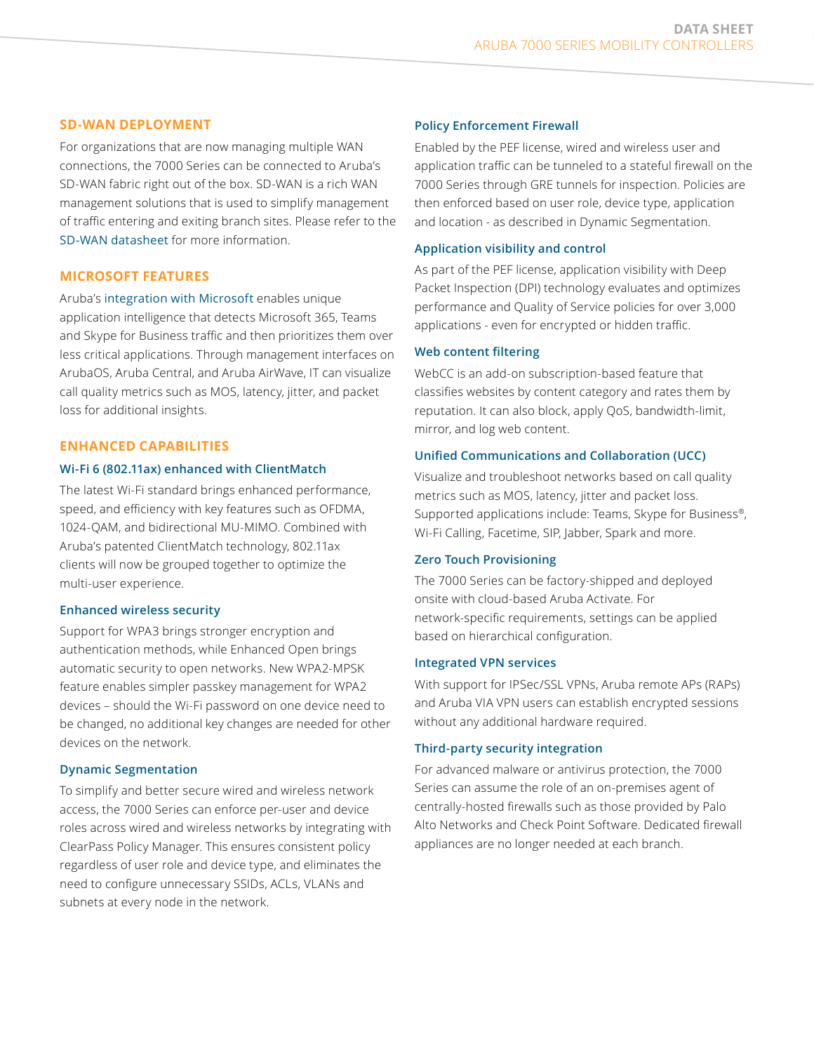#### **SD-WAN DEPLOYMENT**

For organizations that are now managing multiple WAN connections, the 7000 Series can be connected to Aruba's SD-WAN fabric right out of the box. SD-WAN is a rich WAN management solutions that is used to simplify management of traffic entering and exiting branch sites. Please refer to the [SD-WAN datasheet](https://www.arubanetworks.com/assets/ds/DS_SD-WAN.pdf) for more information.

#### **MICROSOFT FEATURES**

Aruba's [integration with Microsoft](https://www.arubanetworks.com/solutions/microsoft-mobile-ucc/) enables unique application intelligence that detects Microsoft 365, Teams and Skype for Business traffic and then prioritizes them over less critical applications. Through management interfaces on ArubaOS, Aruba Central, and Aruba AirWave, IT can visualize call quality metrics such as MOS, latency, jitter, and packet loss for additional insights.

#### **ENHANCED CAPABILITIES**

#### **Wi-Fi 6 (802.11ax) enhanced with ClientMatch**

The latest Wi-Fi standard brings enhanced performance, speed, and efficiency with key features such as OFDMA, 1024-QAM, and bidirectional MU-MIMO. Combined with Aruba's patented ClientMatch technology, 802.11ax clients will now be grouped together to optimize the multi-user experience.

#### **Enhanced wireless security**

Support for WPA3 brings stronger encryption and authentication methods, while Enhanced Open brings automatic security to open networks. New WPA2-MPSK feature enables simpler passkey management for WPA2 devices – should the Wi-Fi password on one device need to be changed, no additional key changes are needed for other devices on the network.

#### **Dynamic Segmentation**

To simplify and better secure wired and wireless network access, the 7000 Series can enforce per-user and device roles across wired and wireless networks by integrating with ClearPass Policy Manager. This ensures consistent policy regardless of user role and device type, and eliminates the need to configure unnecessary SSIDs, ACLs, VLANs and subnets at every node in the network.

#### **Policy Enforcement Firewall**

Enabled by the PEF license, wired and wireless user and application traffic can be tunneled to a stateful firewall on the 7000 Series through GRE tunnels for inspection. Policies are then enforced based on user role, device type, application and location - as described in Dynamic Segmentation.

#### **Application visibility and control**

As part of the PEF license, application visibility with Deep Packet Inspection (DPI) technology evaluates and optimizes performance and Quality of Service policies for over 3,000 applications - even for encrypted or hidden traffic.

#### **Web content filtering**

WebCC is an add-on subscription-based feature that classifies websites by content category and rates them by reputation. It can also block, apply QoS, bandwidth-limit, mirror, and log web content.

#### **Unified Communications and Collaboration (UCC)**

Visualize and troubleshoot networks based on call quality metrics such as MOS, latency, jitter and packet loss. Supported applications include: Teams, Skype for Business®, Wi-Fi Calling, Facetime, SIP, Jabber, Spark and more.

#### **Zero Touch Provisioning**

The 7000 Series can be factory-shipped and deployed onsite with cloud-based Aruba Activate. For network-specific requirements, settings can be applied based on hierarchical configuration.

#### **Integrated VPN services**

With support for IPSec/SSL VPNs, Aruba remote APs (RAPs) and Aruba VIA VPN users can establish encrypted sessions without any additional hardware required.

#### **Third-party security integration**

For advanced malware or antivirus protection, the 7000 Series can assume the role of an on-premises agent of centrally-hosted firewalls such as those provided by Palo Alto Networks and Check Point Software. Dedicated firewall appliances are no longer needed at each branch.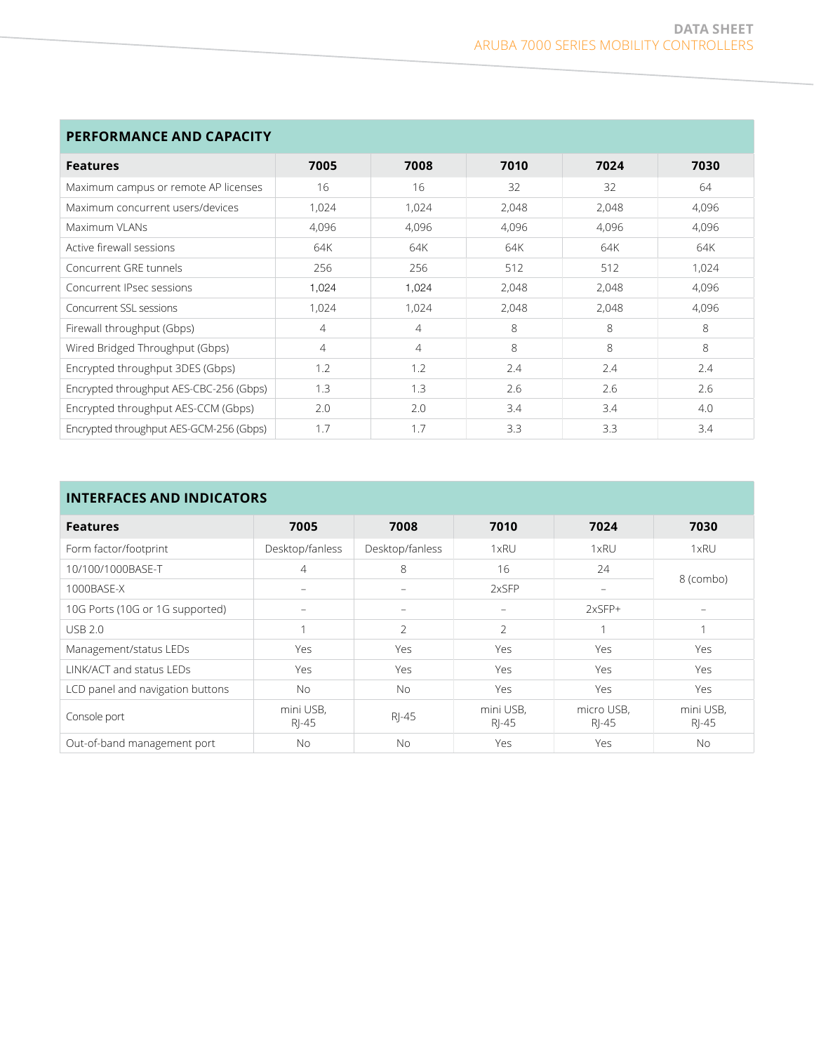| PERFORMANCE AND CAPACITY                |       |                |       |       |       |  |  |
|-----------------------------------------|-------|----------------|-------|-------|-------|--|--|
| <b>Features</b>                         | 7005  | 7008           | 7010  | 7024  | 7030  |  |  |
| Maximum campus or remote AP licenses    | 16    | 16             | 32    | 32    | 64    |  |  |
| Maximum concurrent users/devices        | 1,024 | 1,024          | 2,048 | 2,048 | 4,096 |  |  |
| Maximum VI ANs                          | 4,096 | 4,096          | 4,096 | 4,096 | 4,096 |  |  |
| Active firewall sessions                | 64K   | 64K            | 64K   | 64K   | 64K   |  |  |
| Concurrent GRF tunnels                  | 256   | 256            | 512   | 512   | 1,024 |  |  |
| Concurrent IPsec sessions               | 1,024 | 1,024          | 2,048 | 2,048 | 4,096 |  |  |
| Concurrent SSL sessions                 | 1,024 | 1,024          | 2,048 | 2,048 | 4,096 |  |  |
| Firewall throughput (Gbps)              | 4     | $\overline{4}$ | 8     | 8     | 8     |  |  |
| Wired Bridged Throughput (Gbps)         | 4     | 4              | 8     | 8     | 8     |  |  |
| Encrypted throughput 3DES (Gbps)        | 1.2   | 1.2            | 2.4   | 2.4   | 2.4   |  |  |
| Encrypted throughput AES-CBC-256 (Gbps) | 1.3   | 1.3            | 2.6   | 2.6   | 2.6   |  |  |
| Encrypted throughput AES-CCM (Gbps)     | 2.0   | 2.0            | 3.4   | 3.4   | 4.0   |  |  |
| Encrypted throughput AES-GCM-256 (Gbps) | 1.7   | 1.7            | 3.3   | 3.3   | 3.4   |  |  |

## **INTERFACES AND INDICATORS**

| IN I ERFALES AND INDILATURS      |                          |                 |                          |                          |                    |  |  |
|----------------------------------|--------------------------|-----------------|--------------------------|--------------------------|--------------------|--|--|
| <b>Features</b>                  | 7005                     | 7008            | 7010                     | 7024                     | 7030               |  |  |
| Form factor/footprint            | Desktop/fanless          | Desktop/fanless | 1xRU                     | 1xRU                     | 1xRU               |  |  |
| 10/100/1000BASE-T                | 4                        | 8               | 16                       | 24                       |                    |  |  |
| 1000BASE-X                       | $\overline{\phantom{m}}$ |                 | 2xSFP                    | $\overline{\phantom{m}}$ | 8 (combo)          |  |  |
| 10G Ports (10G or 1G supported)  |                          |                 | $\overline{\phantom{0}}$ | $2xSFP+$                 |                    |  |  |
| <b>USB 2.0</b>                   |                          | $\mathfrak{D}$  | $\mathfrak{D}$           | 1                        |                    |  |  |
| Management/status LEDs           | Yes                      | Yes             | <b>Yes</b>               | Yes                      | Yes                |  |  |
| LINK/ACT and status LEDs         | <b>Yes</b>               | <b>Yes</b>      | <b>Yes</b>               | Yes                      | Yes                |  |  |
| LCD panel and navigation buttons | No.                      | <b>No</b>       | <b>Yes</b>               | Yes                      | Yes                |  |  |
| Console port                     | mini USB,<br>$R$ -45     | $R$ -45         | mini USB,<br>RJ-45       | micro USB,<br>RJ-45      | mini USB,<br>RJ-45 |  |  |
| Out-of-band management port      | <b>No</b>                | <b>No</b>       | <b>Yes</b>               | Yes                      | No.                |  |  |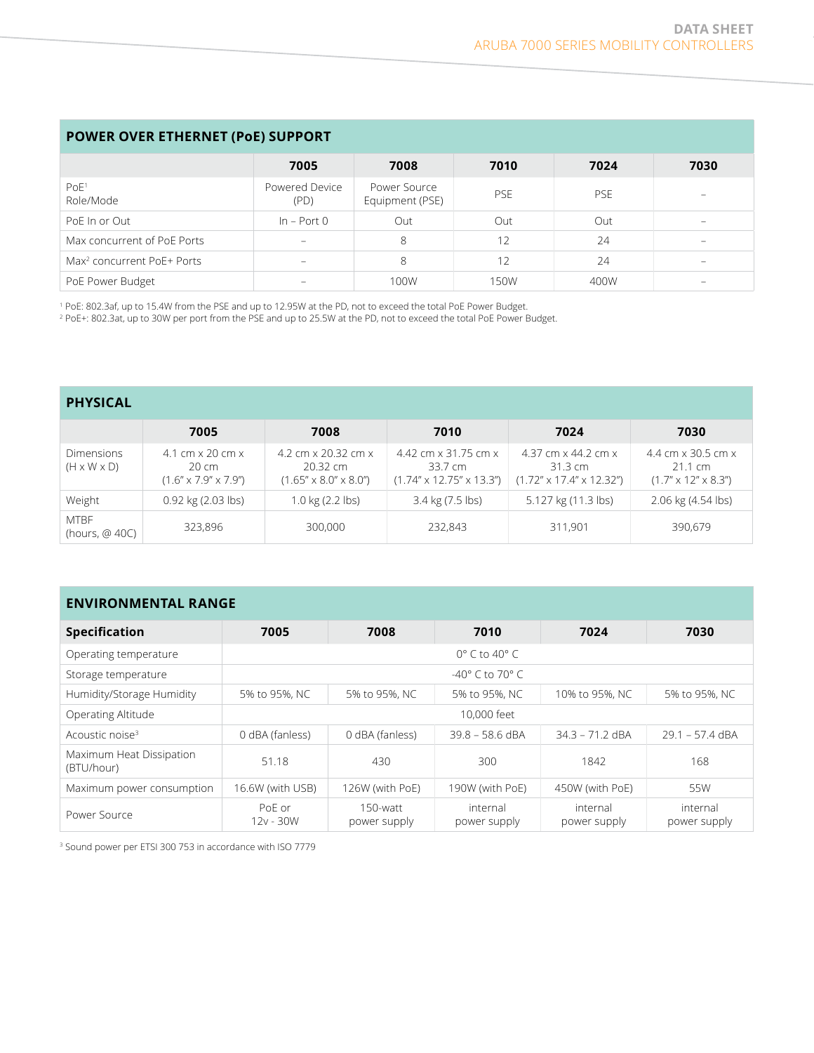|                                        | 7005                     | 7008                            | 7010       | 7024       | 7030                            |
|----------------------------------------|--------------------------|---------------------------------|------------|------------|---------------------------------|
| PoE <sup>1</sup><br>Role/Mode          | Powered Device<br>(PD)   | Power Source<br>Equipment (PSE) | <b>PSE</b> | <b>PSE</b> | $\hspace{0.1mm}-\hspace{0.1mm}$ |
| PoE In or Out                          | $In - Port 0$            | Out                             | Out        | Out        | $\hspace{0.1mm}-\hspace{0.1mm}$ |
| Max concurrent of PoE Ports            | $\overline{\phantom{a}}$ | 8                               | 12         | 24         | $\sim$                          |
| Max <sup>2</sup> concurrent PoE+ Ports | $\qquad \qquad$          | 8                               | 12         | 24         | $\overline{\phantom{0}}$        |
| PoE Power Budget                       |                          | 100W                            | 150W       | 400W       | $\overline{\phantom{a}}$        |

1 PoE: 802.3af, up to 15.4W from the PSE and up to 12.95W at the PD, not to exceed the total PoE Power Budget.

2 PoE+: 802.3at, up to 30W per port from the PSE and up to 25.5W at the PD, not to exceed the total PoE Power Budget.

| <b>PHYSICAL</b>                              |                                                                                                        |                                                                                                   |                                                                            |                                                                                                |                                                                                             |
|----------------------------------------------|--------------------------------------------------------------------------------------------------------|---------------------------------------------------------------------------------------------------|----------------------------------------------------------------------------|------------------------------------------------------------------------------------------------|---------------------------------------------------------------------------------------------|
|                                              | 7005                                                                                                   | 7008                                                                                              | 7010                                                                       | 7024                                                                                           | 7030                                                                                        |
| <b>Dimensions</b><br>$(H \times W \times D)$ | $4.1 \text{ cm} \times 20 \text{ cm} \times$<br>$20 \text{ cm}$<br>$(1.6'' \times 7.9'' \times 7.9'')$ | 4.2 cm $\times$ 20.32 cm $\times$<br>$20.32 \, \text{cm}$<br>$(1.65'' \times 8.0'' \times 8.0'')$ | 4.42 cm x 31.75 cm x<br>33.7 cm<br>$(1.74'' \times 12.75'' \times 13.3'')$ | 4.37 cm $\times$ 44.2 cm $\times$<br>$31.3 \text{ cm}$<br>$(1.72" \times 17.4" \times 12.32")$ | 4.4 cm $\times$ 30.5 cm $\times$<br>$21.1 \text{ cm}$<br>$(1.7'' \times 12'' \times 8.3'')$ |
| Weight                                       | $0.92$ kg $(2.03$ lbs)                                                                                 | 1.0 $kg(2.2$ lbs)                                                                                 | 3.4 kg (7.5 lbs)                                                           | 5.127 kg (11.3 lbs)                                                                            | 2.06 kg (4.54 lbs)                                                                          |
| <b>MTBF</b><br>(hours, @ 40C)                | 323,896                                                                                                | 300,000                                                                                           | 232,843                                                                    | 311.901                                                                                        | 390,679                                                                                     |

### **ENVIRONMENTAL RANGE**

| <b>Specification</b>                   | 7005                  | 7008                             | 7010                     | 7024                     | 7030                     |  |
|----------------------------------------|-----------------------|----------------------------------|--------------------------|--------------------------|--------------------------|--|
| Operating temperature                  |                       | $0^{\circ}$ C to 40 $^{\circ}$ C |                          |                          |                          |  |
| Storage temperature                    |                       | $-40^{\circ}$ C to 70° C         |                          |                          |                          |  |
| Humidity/Storage Humidity              | 5% to 95%, NC         | 5% to 95%, NC                    | 5% to 95%, NC            | 10% to 95%, NC           | 5% to 95%, NC            |  |
| Operating Altitude                     | 10,000 feet           |                                  |                          |                          |                          |  |
| Acoustic noise <sup>3</sup>            | 0 dBA (fanless)       | 0 dBA (fanless)                  | $39.8 - 58.6$ dBA        | $34.3 - 71.2$ dBA        | $29.1 - 57.4$ dBA        |  |
| Maximum Heat Dissipation<br>(BTU/hour) | 51.18                 | 430                              | 300                      | 1842                     | 168                      |  |
| Maximum power consumption              | 16.6W (with USB)      | 126W (with PoE)                  | 190W (with PoE)          | 450W (with PoE)          | 55W                      |  |
| Power Source                           | PoF or<br>$12v - 30W$ | $150$ -watt<br>power supply      | internal<br>power supply | internal<br>power supply | internal<br>power supply |  |

3 Sound power per ETSI 300 753 in accordance with ISO 7779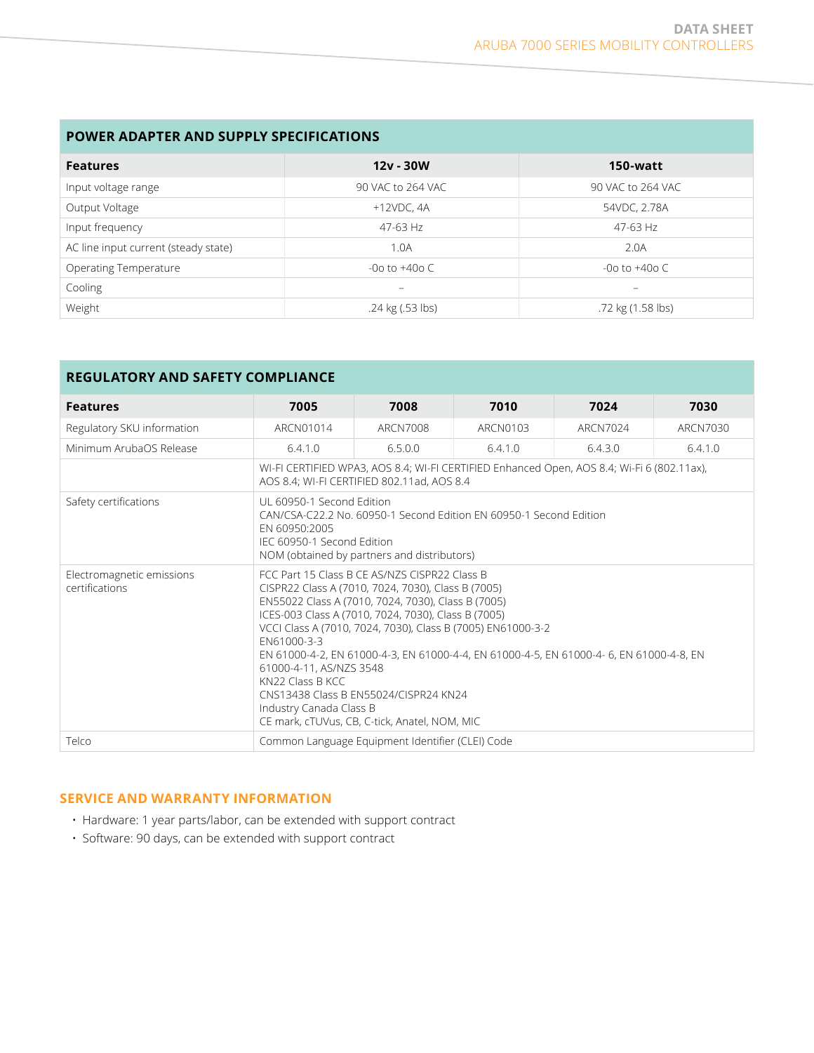#### **POWER ADAPTER AND SUPPLY SPECIFICATIONS**

| <b>Features</b>                      | $12v - 30W$              | 150-watt          |
|--------------------------------------|--------------------------|-------------------|
| Input voltage range                  | 90 VAC to 264 VAC        | 90 VAC to 264 VAC |
| Output Voltage                       | $+12$ VDC, 4A            | 54VDC, 2.78A      |
| Input frequency                      | 47-63 Hz                 | 47-63 Hz          |
| AC line input current (steady state) | 1.0A                     | 2.0A              |
| Operating Temperature                | -0o to $+40$ o C         | -0o to $+40$ o C  |
| Cooling                              | $\overline{\phantom{a}}$ | -                 |
| Weight                               | .24 kg (.53 lbs)         | .72 kg (1.58 lbs) |

| <b>REGULATORY AND SAFETY COMPLIANCE</b>     |                                                                                                                                                                                                                                                                                                                                                                                                                                                                                                                                                              |                                                  |          |                                                                                            |          |  |  |
|---------------------------------------------|--------------------------------------------------------------------------------------------------------------------------------------------------------------------------------------------------------------------------------------------------------------------------------------------------------------------------------------------------------------------------------------------------------------------------------------------------------------------------------------------------------------------------------------------------------------|--------------------------------------------------|----------|--------------------------------------------------------------------------------------------|----------|--|--|
| <b>Features</b>                             | 7005                                                                                                                                                                                                                                                                                                                                                                                                                                                                                                                                                         | 7008                                             | 7010     | 7024                                                                                       | 7030     |  |  |
| Regulatory SKU information                  | ARCN01014                                                                                                                                                                                                                                                                                                                                                                                                                                                                                                                                                    | ARCN7008                                         | ARCN0103 | ARCN7024                                                                                   | ARCN7030 |  |  |
| Minimum ArubaOS Release                     | 6.4.1.0                                                                                                                                                                                                                                                                                                                                                                                                                                                                                                                                                      | 6.5.0.0                                          | 6.4.1.0  | 6.4.3.0                                                                                    | 6.4.1.0  |  |  |
|                                             |                                                                                                                                                                                                                                                                                                                                                                                                                                                                                                                                                              | AOS 8.4; WI-FI CERTIFIED 802.11ad, AOS 8.4       |          | WI-FI CERTIFIED WPA3, AOS 8.4; WI-FI CERTIFIED Enhanced Open, AOS 8.4; Wi-Fi 6 (802.11ax), |          |  |  |
| Safety certifications                       | UL 60950-1 Second Edition<br>CAN/CSA-C22.2 No. 60950-1 Second Edition EN 60950-1 Second Edition<br>FN 60950:2005<br>IEC 60950-1 Second Fdition<br>NOM (obtained by partners and distributors)                                                                                                                                                                                                                                                                                                                                                                |                                                  |          |                                                                                            |          |  |  |
| Electromagnetic emissions<br>certifications | FCC Part 15 Class B CF AS/NZS CISPR22 Class B<br>CISPR22 Class A (7010, 7024, 7030), Class B (7005)<br>EN55022 Class A (7010, 7024, 7030), Class B (7005)<br>ICES-003 Class A (7010, 7024, 7030), Class B (7005)<br>VCCI Class A (7010, 7024, 7030), Class B (7005) EN61000-3-2<br>FN61000-3-3<br>EN 61000-4-2, EN 61000-4-3, EN 61000-4-4, EN 61000-4-5, EN 61000-4-6, EN 61000-4-8, EN<br>61000-4-11, AS/NZS 3548<br>KN22 Class B KCC<br>CNS13438 Class B FN55024/CISPR24 KN24<br>Industry Canada Class B<br>CE mark, cTUVus, CB, C-tick, Anatel, NOM, MIC |                                                  |          |                                                                                            |          |  |  |
| Telco                                       |                                                                                                                                                                                                                                                                                                                                                                                                                                                                                                                                                              | Common Language Equipment Identifier (CLEI) Code |          |                                                                                            |          |  |  |

#### **SERVICE AND WARRANTY INFORMATION**

- Hardware: 1 year parts/labor, can be extended with support contract
- Software: 90 days, can be extended with support contract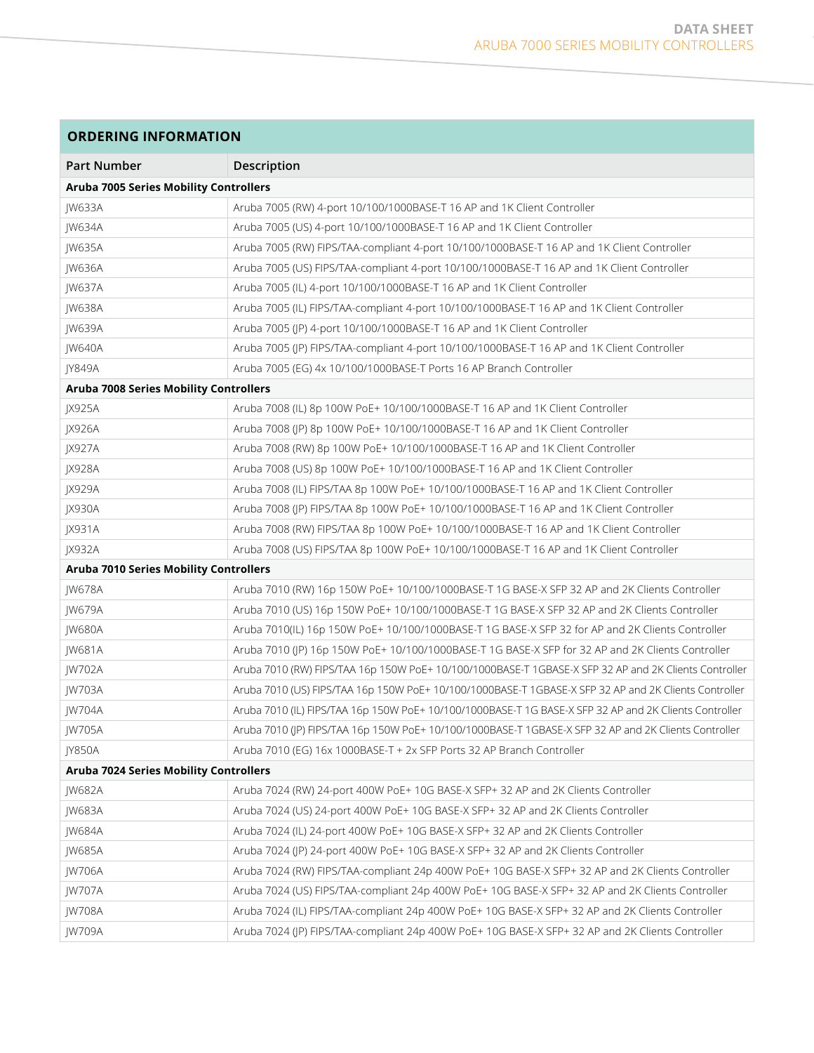| <b>ORDERING INFORMATION</b>                   |                                                                                                        |
|-----------------------------------------------|--------------------------------------------------------------------------------------------------------|
| <b>Part Number</b>                            | Description                                                                                            |
| <b>Aruba 7005 Series Mobility Controllers</b> |                                                                                                        |
| JW633A                                        | Aruba 7005 (RW) 4-port 10/100/1000BASE-T 16 AP and 1K Client Controller                                |
| JW634A                                        | Aruba 7005 (US) 4-port 10/100/1000BASE-T 16 AP and 1K Client Controller                                |
| JW635A                                        | Aruba 7005 (RW) FIPS/TAA-compliant 4-port 10/100/1000BASE-T 16 AP and 1K Client Controller             |
| JW636A                                        | Aruba 7005 (US) FIPS/TAA-compliant 4-port 10/100/1000BASE-T 16 AP and 1K Client Controller             |
| <b>IW637A</b>                                 | Aruba 7005 (IL) 4-port 10/100/1000BASE-T 16 AP and 1K Client Controller                                |
| <b>IW638A</b>                                 | Aruba 7005 (IL) FIPS/TAA-compliant 4-port 10/100/1000BASE-T 16 AP and 1K Client Controller             |
| <b>IW639A</b>                                 | Aruba 7005 (JP) 4-port 10/100/1000BASE-T 16 AP and 1K Client Controller                                |
| <b>IW640A</b>                                 | Aruba 7005 (JP) FIPS/TAA-compliant 4-port 10/100/1000BASE-T 16 AP and 1K Client Controller             |
| <b>JY849A</b>                                 | Aruba 7005 (EG) 4x 10/100/1000BASE-T Ports 16 AP Branch Controller                                     |
| Aruba 7008 Series Mobility Controllers        |                                                                                                        |
| JX925A                                        | Aruba 7008 (IL) 8p 100W PoE+ 10/100/1000BASE-T 16 AP and 1K Client Controller                          |
| JX926A                                        | Aruba 7008 (IP) 8p 100W PoE+ 10/100/1000BASE-T 16 AP and 1K Client Controller                          |
| JX927A                                        | Aruba 7008 (RW) 8p 100W PoE+ 10/100/1000BASE-T 16 AP and 1K Client Controller                          |
| <b>JX928A</b>                                 | Aruba 7008 (US) 8p 100W PoE+ 10/100/1000BASE-T 16 AP and 1K Client Controller                          |
| JX929A                                        | Aruba 7008 (IL) FIPS/TAA 8p 100W PoE+ 10/100/1000BASE-T 16 AP and 1K Client Controller                 |
| JX930A                                        | Aruba 7008 (JP) FIPS/TAA 8p 100W PoE+ 10/100/1000BASE-T 16 AP and 1K Client Controller                 |
| JX931A                                        | Aruba 7008 (RW) FIPS/TAA 8p 100W PoE+ 10/100/1000BASE-T 16 AP and 1K Client Controller                 |
| JX932A                                        | Aruba 7008 (US) FIPS/TAA 8p 100W PoE+ 10/100/1000BASE-T 16 AP and 1K Client Controller                 |
| <b>Aruba 7010 Series Mobility Controllers</b> |                                                                                                        |
| JW678A                                        | Aruba 7010 (RW) 16p 150W PoE+ 10/100/1000BASE-T 1G BASE-X SFP 32 AP and 2K Clients Controller          |
| <b>IW679A</b>                                 | Aruba 7010 (US) 16p 150W PoE+ 10/100/1000BASE-T 1G BASE-X SFP 32 AP and 2K Clients Controller          |
| <b>IW680A</b>                                 | Aruba 7010(IL) 16p 150W PoE+ 10/100/1000BASE-T 1G BASE-X SFP 32 for AP and 2K Clients Controller       |
| <b>IW681A</b>                                 | Aruba 7010 (JP) 16p 150W PoE+ 10/100/1000BASE-T 1G BASE-X SFP for 32 AP and 2K Clients Controller      |
| JW702A                                        | Aruba 7010 (RW) FIPS/TAA 16p 150W PoE+ 10/100/1000BASE-T 1GBASE-X SFP 32 AP and 2K Clients Controller  |
| <b>IW703A</b>                                 | Aruba 7010 (US) FIPS/TAA 16p 150W PoE+ 10/100/1000BASE-T 1GBASE-X SFP 32 AP and 2K Clients Controller  |
| <b>IW704A</b>                                 | Aruba 7010 (IL) FIPS/TAA 16p 150W PoE+ 10/100/1000BASE-T 1G BASE-X SFP 32 AP and 2K Clients Controller |
| JW705A                                        | Aruba 7010 (JP) FIPS/TAA 16p 150W PoE+ 10/100/1000BASE-T 1GBASE-X SFP 32 AP and 2K Clients Controller  |
| <b>JY850A</b>                                 | Aruba 7010 (EG) 16x 1000BASE-T + 2x SFP Ports 32 AP Branch Controller                                  |
| Aruba 7024 Series Mobility Controllers        |                                                                                                        |
| <b>IW682A</b>                                 | Aruba 7024 (RW) 24-port 400W PoE+ 10G BASE-X SFP+ 32 AP and 2K Clients Controller                      |
| JW683A                                        | Aruba 7024 (US) 24-port 400W PoE+ 10G BASE-X SFP+ 32 AP and 2K Clients Controller                      |
| <b>IW684A</b>                                 | Aruba 7024 (IL) 24-port 400W PoE+ 10G BASE-X SFP+ 32 AP and 2K Clients Controller                      |
| <b>IW685A</b>                                 | Aruba 7024 (JP) 24-port 400W PoE+ 10G BASE-X SFP+ 32 AP and 2K Clients Controller                      |
| <b>IW706A</b>                                 | Aruba 7024 (RW) FIPS/TAA-compliant 24p 400W PoE+ 10G BASE-X SFP+ 32 AP and 2K Clients Controller       |
| <b>IW707A</b>                                 | Aruba 7024 (US) FIPS/TAA-compliant 24p 400W PoE+ 10G BASE-X SFP+ 32 AP and 2K Clients Controller       |
| <b>JW708A</b>                                 | Aruba 7024 (IL) FIPS/TAA-compliant 24p 400W PoE+ 10G BASE-X SFP+ 32 AP and 2K Clients Controller       |
| <b>IW709A</b>                                 | Aruba 7024 (JP) FIPS/TAA-compliant 24p 400W PoE+ 10G BASE-X SFP+ 32 AP and 2K Clients Controller       |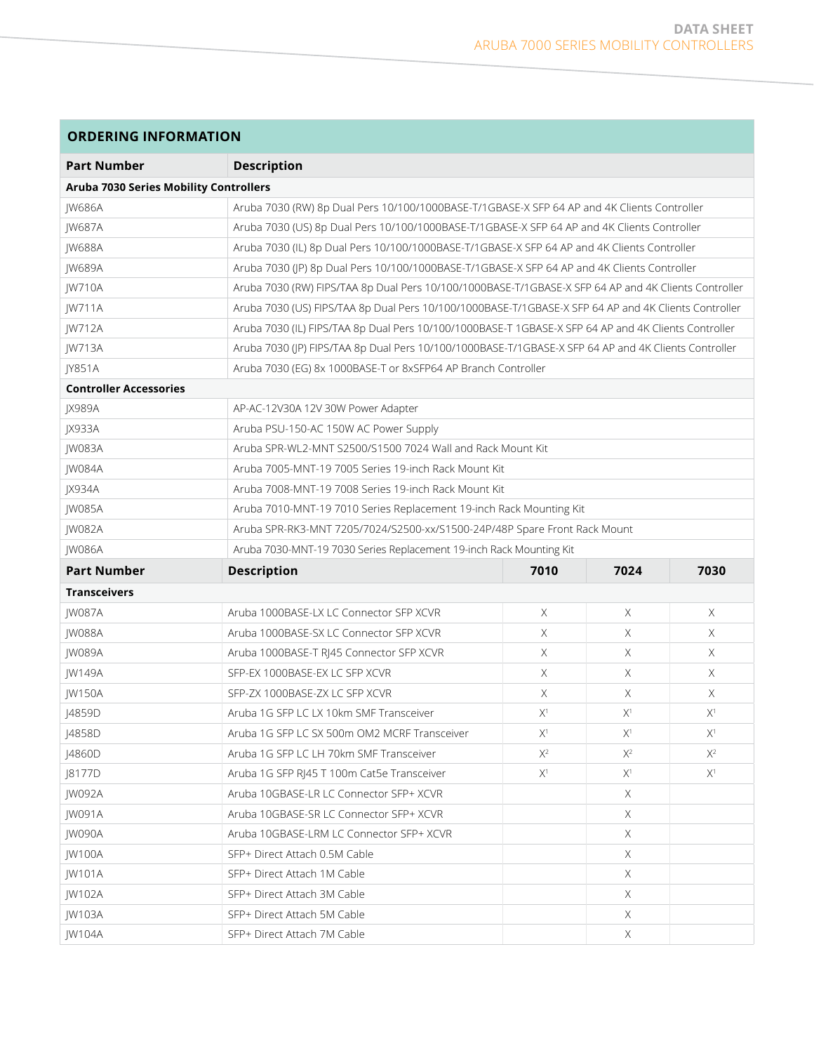| <b>Part Number</b>                     | <b>Description</b>                                                                                   |       |          |       |  |  |
|----------------------------------------|------------------------------------------------------------------------------------------------------|-------|----------|-------|--|--|
| Aruba 7030 Series Mobility Controllers |                                                                                                      |       |          |       |  |  |
| <b>IW686A</b>                          | Aruba 7030 (RW) 8p Dual Pers 10/100/1000BASE-T/1GBASE-X SFP 64 AP and 4K Clients Controller          |       |          |       |  |  |
| <b>IW687A</b>                          | Aruba 7030 (US) 8p Dual Pers 10/100/1000BASE-T/1GBASE-X SFP 64 AP and 4K Clients Controller          |       |          |       |  |  |
| <b>IW688A</b>                          | Aruba 7030 (IL) 8p Dual Pers 10/100/1000BASE-T/1GBASE-X SFP 64 AP and 4K Clients Controller          |       |          |       |  |  |
| JW689A                                 | Aruba 7030 (JP) 8p Dual Pers 10/100/1000BASE-T/1GBASE-X SFP 64 AP and 4K Clients Controller          |       |          |       |  |  |
| JW710A                                 | Aruba 7030 (RW) FIPS/TAA 8p Dual Pers 10/100/1000BASE-T/1GBASE-X SFP 64 AP and 4K Clients Controller |       |          |       |  |  |
| JW711A                                 | Aruba 7030 (US) FIPS/TAA 8p Dual Pers 10/100/1000BASE-T/1GBASE-X SFP 64 AP and 4K Clients Controller |       |          |       |  |  |
| JW712A                                 | Aruba 7030 (IL) FIPS/TAA 8p Dual Pers 10/100/1000BASE-T 1GBASE-X SFP 64 AP and 4K Clients Controller |       |          |       |  |  |
| <b>IW713A</b>                          | Aruba 7030 (JP) FIPS/TAA 8p Dual Pers 10/100/1000BASE-T/1GBASE-X SFP 64 AP and 4K Clients Controller |       |          |       |  |  |
| <b>IY851A</b>                          | Aruba 7030 (EG) 8x 1000BASE-T or 8xSFP64 AP Branch Controller                                        |       |          |       |  |  |
| <b>Controller Accessories</b>          |                                                                                                      |       |          |       |  |  |
| <b>JX989A</b>                          | AP-AC-12V30A 12V 30W Power Adapter                                                                   |       |          |       |  |  |
| <b>IX933A</b>                          | Aruba PSU-150-AC 150W AC Power Supply                                                                |       |          |       |  |  |
| <b>IW083A</b>                          | Aruba SPR-WL2-MNT S2500/S1500 7024 Wall and Rack Mount Kit                                           |       |          |       |  |  |
| <b>IW084A</b>                          | Aruba 7005-MNT-19 7005 Series 19-inch Rack Mount Kit                                                 |       |          |       |  |  |
| <b>JX934A</b>                          | Aruba 7008-MNT-19 7008 Series 19-inch Rack Mount Kit                                                 |       |          |       |  |  |
| <b>IW085A</b>                          | Aruba 7010-MNT-19 7010 Series Replacement 19-inch Rack Mounting Kit                                  |       |          |       |  |  |
| <b>IW082A</b>                          | Aruba SPR-RK3-MNT 7205/7024/S2500-xx/S1500-24P/48P Spare Front Rack Mount                            |       |          |       |  |  |
| JW086A                                 | Aruba 7030-MNT-19 7030 Series Replacement 19-inch Rack Mounting Kit                                  |       |          |       |  |  |
| <b>Part Number</b>                     | <b>Description</b>                                                                                   | 7010  | 7024     | 7030  |  |  |
| <b>Transceivers</b>                    |                                                                                                      |       |          |       |  |  |
| <b>IW087A</b>                          | Aruba 1000BASE-LX LC Connector SFP XCVR                                                              | X     | $\times$ | X     |  |  |
| <b>IW088A</b>                          | Aruba 1000BASE-SX LC Connector SFP XCVR                                                              | Χ     | X.       | X.    |  |  |
| <b>IW089A</b>                          | Aruba 1000BASE-T RJ45 Connector SFP XCVR                                                             | X     | $\times$ | X.    |  |  |
| <b>IW149A</b>                          | SFP-EX 1000BASE-EX LC SFP XCVR                                                                       | X     | X        | X.    |  |  |
| <b>IW150A</b>                          | SFP-ZX 1000BASE-ZX LC SFP XCVR                                                                       | X     | $\times$ | X.    |  |  |
| J4859D                                 | Aruba 1G SFP LC LX 10km SMF Transceiver                                                              | $X^1$ | $X^1$    | $X^1$ |  |  |
| J4858D                                 | Aruba 1G SFP LC SX 500m OM2 MCRF Transceiver                                                         | $X^1$ | $X^1$    | $X^1$ |  |  |
| J4860D                                 | Aruba 1G SFP LC LH 70km SMF Transceiver                                                              | $X^2$ | $X^2$    | $X^2$ |  |  |
| J8177D                                 | Aruba 1G SFP RJ45 T 100m Cat5e Transceiver                                                           | $X^1$ | $X^1$    | $X^1$ |  |  |
| <b>IW092A</b>                          | Aruba 10GBASE-LR LC Connector SFP+ XCVR                                                              |       | Χ        |       |  |  |
| JW091A                                 | Aruba 10GBASE-SR LC Connector SFP+ XCVR                                                              |       | X        |       |  |  |
| JW090A                                 | Aruba 10GBASE-LRM LC Connector SFP+ XCVR                                                             |       | X.       |       |  |  |
| JW100A                                 | SFP+ Direct Attach 0.5M Cable                                                                        |       | X        |       |  |  |
| JW101A                                 | SFP+ Direct Attach 1M Cable                                                                          |       | Χ        |       |  |  |
| JW102A                                 | SFP+ Direct Attach 3M Cable                                                                          |       | X        |       |  |  |
| JW103A                                 | SFP+ Direct Attach 5M Cable                                                                          |       | X        |       |  |  |
| <b>IW104A</b>                          | SFP+ Direct Attach 7M Cable                                                                          |       | X        |       |  |  |

#### **ORDERING INFORMATION**